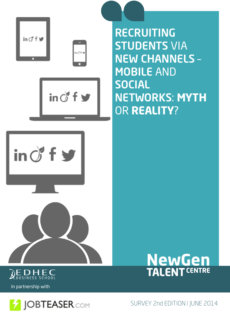



In partnership with



SURVEY 2nd EDITION I JUNE 2014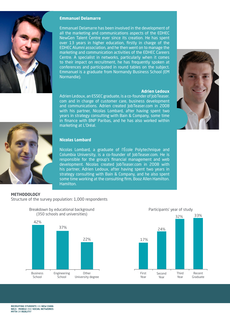

#### **Emmanuel Delamarre**

Emmanuel Delamarre has been involved in the development of all the marketing and communications aspects of the EDHEC NewGen Talent Centre ever since its creation. He has spent over 13 years in higher education, firstly in charge of the EDHEC Alumni association, and he then went on to manage the marketing and communication activities of the EDHEC Careers Centre. A specialist in networks, particularly when it comes to their impact on recruitment, he has frequently spoken at conferences and participated in round tables on the subject. Emmanuel is a graduate from Normandy Business School (EM Normandie).

#### **Adrien Ledoux**

Adrien Ledoux, an ESSEC graduate, is a co-founder of JobTeaser. com and in charge of customer care, business development and communications. Adrien created JobTeaser.com in 2008 with his partner, Nicolas Lombard, after having spent two years in strategy consulting with Bain & Company, some time in finance with BNP Paribas, and he has also worked within marketing at L'Oréal.





#### **Nicolas Lombard**

Nicolas Lombard, a graduate of l'École Polytechnique and Columbia University, is a co-founder of JobTeaser.com. He is responsible for the group's financial management and web development. Nicolas created JobTeaser.com in 2008 with his partner, Adrien Ledoux, after having spent two years in strategy consulting with Bain & Company, and he also spent some time working at the consulting firm, Booz Allen Hamilton. Hamilton.

#### **METHODOLOGY**

Structure of the survey population: 1,000 respondents



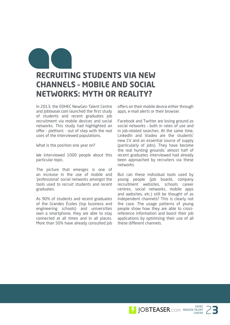## **RECRUITING STUDENTS VIA NEW CHANNELS – MOBILE AND SOCIAL NETWORKS: MYTH OR REALITY?**

In 2013, the EDHEC NewGen Talent Centre and Jobteaser.com launched the first study of students and recent graduates job recruitment via mobile devices and social networks. This study had highlighted an offer - plethoric - out of step with the real uses of the interviewed populations.

What is the position one year on?

We interviewed 1000 people about this particular topic.

The picture that emerges is one of an increase in the use of mobile and 'professional' social networks amongst the tools used to recruit students and recent graduates.

As 90% of students and recent graduates of the Grandes Écoles (top business and engineering schools) and universities own a smartphone, they are able to stay connected at all times and in all places. More than 50% have already consulted job

offers on their mobile device either through apps, e-mail alerts or their browser.

Facebook and Twitter are losing ground as social networks – both in rates of use and in job-related searches. At the same time, LinkedIn and Viadeo are the students' new CV and an essential source of supply (particularly of jobs). They have become the real hunting grounds: almost half of recent graduates interviewed had already been approached by recruiters via these networks

But can these individual tools used by young people (job boards, company recruitment websites, schools career centres, social networks, mobile apps and websites, etc.) still be thought of as independent channels? This is clearly not the case. The usage patterns of young people show how they are able to crossreference information and boost their job applications by optimising their use of all these different channels.

> EDHEC<br>TALENT 23 NEWGEN TALENT EDHEC<br>TALENT 2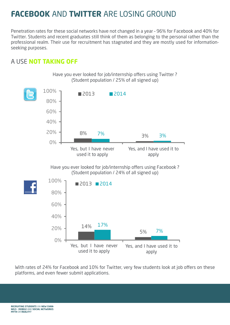# **FACEBOOK** AND **TWITTER** ARE LOSING GROUND

Penetration rates for these social networks have not changed in a year – 96% for Facebook and 40% for Twitter. Students and recent graduates still think of them as belonging to the personal rather than the professional realm. Their use for recruitment has stagnated and they are mostly used for informationseeking purposes.

### A USE **NOT TAKING OFF**





With rates of 24% for Facebook and 10% for Twitter, very few students look at job offers on these platforms, and even fewer submit applications.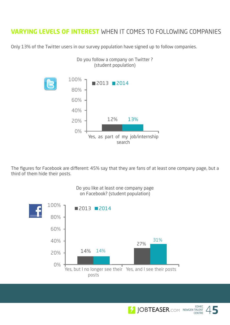### **VARYING LEVELS OF INTEREST** WHEN IT COMES TO FOLLOWING COMPANIES

Do you follow a company on Twitter ?

Only 13% of the Twitter users in our survey population have signed up to follow companies.



The figures for Facebook are different: 45% say that they are fans of at least one company page, but a third of them hide their posts.



Do you like at least one company page on Facebook? (student population)

> EDHEC<br>ENTRE 45 NEWGEN TALENT EDHEC<br>TALENT 4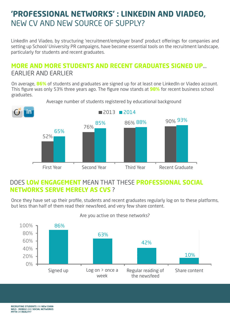## **'PROFESSIONAL NETWORKS' : LINKEDIN AND VIADEO,**  NEW CV AND NEW SOURCE OF SUPPLY?

LinkedIn and Viadeo, by structuring 'recruitment/employer brand' product offerings for companies and setting up School/ University PR campaigns, have become essential tools on the recruitment landscape, particularly for students and recent graduates.

### **MORE AND MORE STUDENTS AND RECENT GRADUATES SIGNED UP**… EARLIER AND EARLIER

On average, **86%** of students and graduates are signed up for at least one LinkedIn or Viadeo account. This figure was only 53% three years ago. The figure now stands at **98%** for recent business school graduates.



Average number of students registered by educational background

### DOES **LOW ENGAGEMENT** MEAN THAT THESE **PROFESSIONAL SOCIAL NETWORKS SERVE MERELY AS CVS** ?

Once they have set up their profile, students and recent graduates regularly log on to these platforms, but less than half of them read their newsfeed, and very few share content.



#### Are you active on these networks?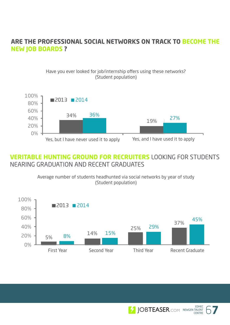#### **ARE THE PROFESSIONAL SOCIAL NETWORKS ON TRACK TO BECOME THE NEW JOB BOARDS ?**

Have you ever looked for job/internship offers using these networks? (Student population)



### **VERITABLE HUNTING GROUND FOR RECRUITERS** LOOKING FOR STUDENTS NEARING GRADUATION AND RECENT GRADUATES

Average number of students headhunted via social networks by year of study (Student population)



EDHEC<br>TALENT 67

EDHEC<br>TALENT 6

NEWGEN TALENT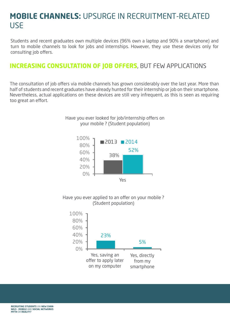## **MOBILE CHANNELS:** UPSURGE IN RECRUITMENT-RELATED USE

Students and recent graduates own multiple devices (96% own a laptop and 90% a smartphone) and turn to mobile channels to look for jobs and internships. However, they use these devices only for consulting job offers.

### **INCREASING CONSULTATION OF JOB OFFERS**, BUT FEW APPLICATIONS

The consultation of job offers via mobile channels has grown considerably over the last year. More than half of students and recent graduates have already hunted for their internship or job on their smartphone. Nevertheless, actual applications on these devices are still very infrequent, as this is seen as requiring too great an effort.

Have you ever looked for job/internship offers on





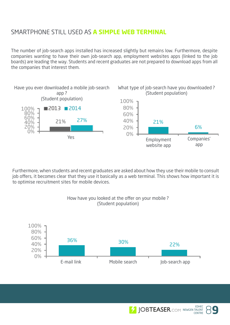### SMARTPHONE STILL USED AS **A SIMPLE WEB TERMINAL**

The number of job-search apps installed has increased slightly but remains low. Furthermore, despite companies wanting to have their own job-search app, employment websites apps (linked to the job boards) are leading the way. Students and recent graduates are not prepared to download apps from all the companies that interest them.



Furthermore, when students and recent graduates are asked about how they use their mobile to consult job offers, it becomes clear that they use it basically as a web terminal. This shows how important it is to optimise recruitment sites for mobile devices.



#### How have you looked at the offer on your mobile ? (Student population)

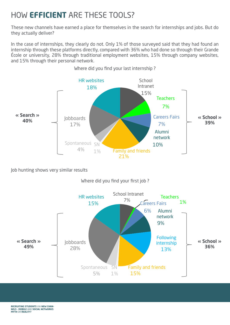# HOW **EFFICIENT** ARE THESE TOOLS?

These new channels have earned a place for themselves in the search for internships and jobs. But do they actually deliver?

In the case of internships, they clearly do not. Only 1% of those surveyed said that they had found an internship through these platforms directly, compared with 36% who had done so through their Grande École or university, 28% through traditional employment websites, 15% through company websites, and 15% through their personal network.



Where did you find your last internship ?

Job hunting shows very similar results

Where did you find your first job ?

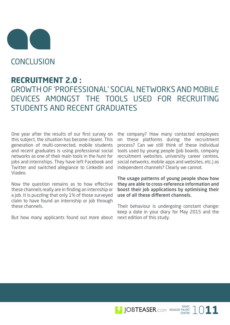

**CONCLUSION** 

### **RECRUITMENT 2.0 :**

GROWTH OF 'PROFESSIONAL' SOCIAL NETWORKS AND MOBILE DEVICES AMONGST THE TOOLS USED FOR RECRUITING STUDENTS AND RECENT GRADUATES

One year after the results of our first survey on this subject, the situation has become clearer. This generation of multi-connected, mobile students and recent graduates is using professional social networks as one of their main tools in the hunt for jobs and internships. They have left Facebook and Twitter and switched allegiance to LinkedIn and Viadeo.

Now the question remains as to how effective these channels really are in finding an internship or a job. It is puzzling that only 1% of those surveyed claim to have found an internship or job through these channels.

But how many applicants found out more about next edition of this study.

the company? How many contacted employees on these platforms during the recruitment process? Can we still think of these individual tools used by young people (job boards, company recruitment websites, university career centres, social networks, mobile apps and websites, etc.) as independent channels? Clearly we cannot.

The usage patterns of young people show how they are able to cross-reference information and boost their job applications by optimising their use of all these different channels.

Their behaviour is undergoing constant change: keep a date in your diary for May 2015 and the

EDHEC 1011 NEWGEN TALENT  $TALENT  
CENTRE 10$